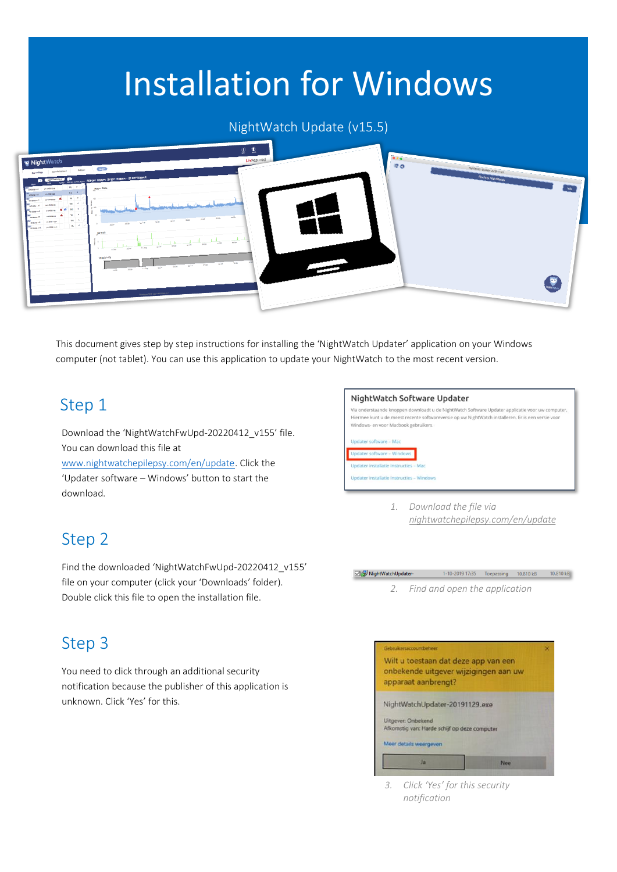# Installation for Windows

#### NightWatch Update (v15.5)



This document gives step by step instructions for installing the 'NightWatch Updater' application on your Windows computer (not tablet). You can use this application to update your NightWatch to the most recent version.

### Step 1

Download the 'NightWatchFwUpd-20220412\_v155' file. You can download this file at

[www.nightwatchepilepsy.com/en/update.](https://www.nightwatchepilepsy.com/en/update) Click the 'Updater software – Windows' button to start the download.

### Step 2

Find the downloaded 'NightWatchFwUpd-20220412\_v155' file on your computer (click your 'Downloads' folder). Double click this file to open the installation file.

### Step 3

You need to click through an additional security notification because the publisher of this application is unknown. Click 'Yes' for this.



*1. Download the file via [nightwatchepilepsy.com/en/update](https://www.nightwatchepilepsy.com/en/update)*



*2. Find and open the application*



*3. Click 'Yes' for this security notification*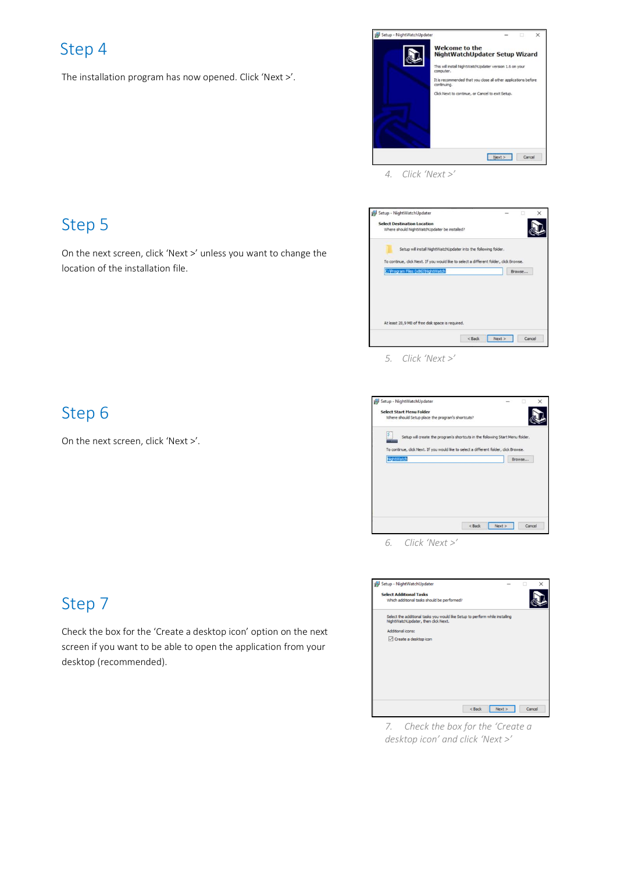# Step 4

The installation program has now opened. Click 'Next >'.



*4. Click 'Next >'*



*5. Click 'Next >'*

| Setup - NightWatchUpdater                                                              |        |      |        |
|----------------------------------------------------------------------------------------|--------|------|--------|
| <b>Select Start Menu Folder</b>                                                        |        |      |        |
| Where should Setup place the program's shortcuts?                                      |        |      |        |
| ۶<br>Setup will create the program's shortcuts in the following Start Menu folder.     |        |      |        |
|                                                                                        |        |      |        |
| To continue, click Next. If you would like to select a different folder, click Browse. |        |      |        |
| NightWatch                                                                             |        |      | Browse |
|                                                                                        |        |      |        |
|                                                                                        |        |      |        |
|                                                                                        |        |      |        |
|                                                                                        |        |      |        |
|                                                                                        |        |      |        |
|                                                                                        |        |      |        |
|                                                                                        |        |      |        |
|                                                                                        | < Back | Next | Cancel |

*6. Click 'Next >'*



*7. Check the box for the 'Create a desktop icon' and click 'Next >'*

# Step 5

On the next screen, click 'Next >' unless you want to change the location of the installation file.

## Step 6

On the next screen, click 'Next >'.

# Step 7

Check the box for the 'Create a desktop icon' option on the next screen if you want to be able to open the application from your desktop (recommended).